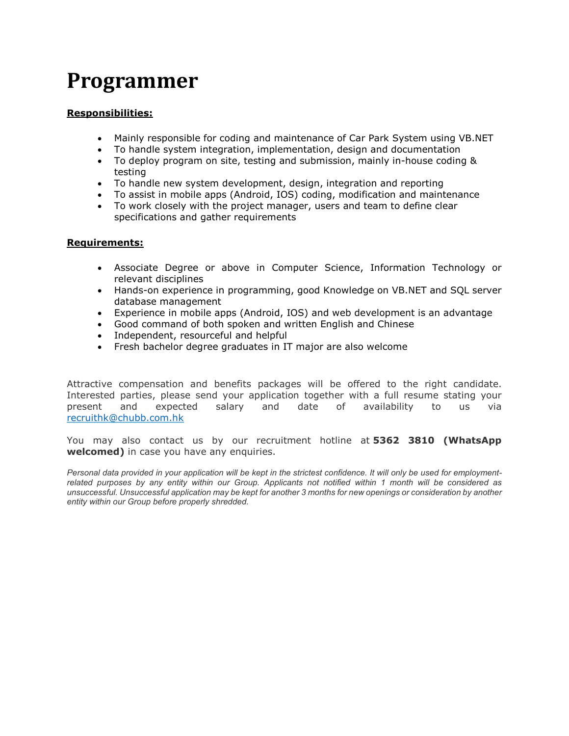# **Programmer**

# **Responsibilities:**

- Mainly responsible for coding and maintenance of Car Park System using VB.NET
- To handle system integration, implementation, design and documentation
- To deploy program on site, testing and submission, mainly in-house coding & testing
- To handle new system development, design, integration and reporting
- To assist in mobile apps (Android, IOS) coding, modification and maintenance
- To work closely with the project manager, users and team to define clear specifications and gather requirements

#### **Requirements:**

- Associate Degree or above in Computer Science, Information Technology or relevant disciplines
- Hands-on experience in programming, good Knowledge on VB.NET and SQL server database management
- Experience in mobile apps (Android, IOS) and web development is an advantage
- Good command of both spoken and written English and Chinese
- Independent, resourceful and helpful
- Fresh bachelor degree graduates in IT major are also welcome

Attractive compensation and benefits packages will be offered to the right candidate. Interested parties, please send your application together with a full resume stating your present and expected salary and date of availability to us via [recruithk@chubb.com.hk](mailto:recruithk@chubb.com.hk)

You may also contact us by our recruitment hotline at **5362 3810 (WhatsApp welcomed)** in case you have any enquiries.

*Personal data provided in your application will be kept in the strictest confidence. It will only be used for employmentrelated purposes by any entity within our Group. Applicants not notified within 1 month will be considered as unsuccessful. Unsuccessful application may be kept for another 3 months for new openings or consideration by another entity within our Group before properly shredded.*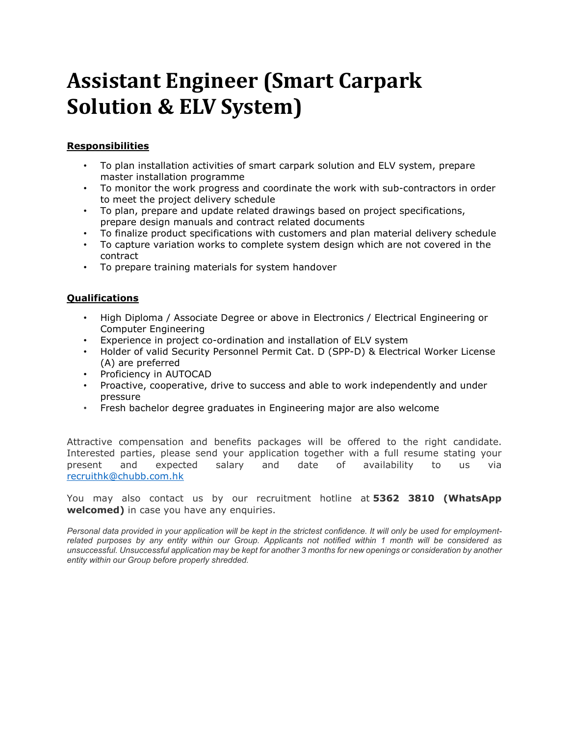# **Assistant Engineer (Smart Carpark Solution & ELV System)**

# **Responsibilities**

- To plan installation activities of smart carpark solution and ELV system, prepare master installation programme
- To monitor the work progress and coordinate the work with sub-contractors in order to meet the project delivery schedule
- To plan, prepare and update related drawings based on project specifications, prepare design manuals and contract related documents
- To finalize product specifications with customers and plan material delivery schedule
- To capture variation works to complete system design which are not covered in the contract
- To prepare training materials for system handover

## **Qualifications**

- High Diploma / Associate Degree or above in Electronics / Electrical Engineering or Computer Engineering
- Experience in project co-ordination and installation of ELV system
- Holder of valid Security Personnel Permit Cat. D (SPP-D) & Electrical Worker License (A) are preferred
- Proficiency in AUTOCAD
- Proactive, cooperative, drive to success and able to work independently and under pressure
- Fresh bachelor degree graduates in Engineering major are also welcome

Attractive compensation and benefits packages will be offered to the right candidate. Interested parties, please send your application together with a full resume stating your present and expected salary and date of availability to us via [recruithk@chubb.com.hk](mailto:recruithk@chubb.com.hk)

You may also contact us by our recruitment hotline at **5362 3810 (WhatsApp welcomed)** in case you have any enquiries.

*Personal data provided in your application will be kept in the strictest confidence. It will only be used for employmentrelated purposes by any entity within our Group. Applicants not notified within 1 month will be considered as unsuccessful. Unsuccessful application may be kept for another 3 months for new openings or consideration by another entity within our Group before properly shredded.*